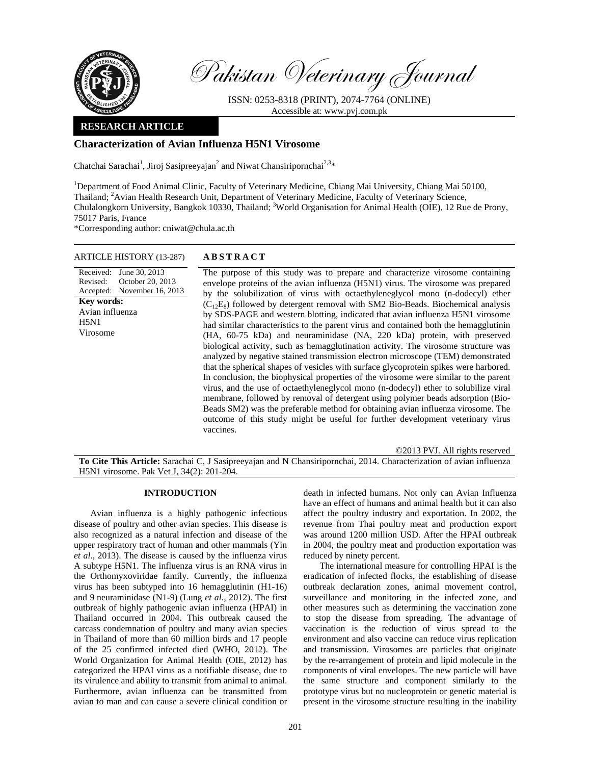

Pakistan Veterinary Journal

ISSN: 0253-8318 (PRINT), 2074-7764 (ONLINE) Accessible at: www.pvj.com.pk

# **RESEARCH ARTICLE**

# **Characterization of Avian Influenza H5N1 Virosome**

Chatchai Sarachai<sup>1</sup>, Jiroj Sasipreeyajan<sup>2</sup> and Niwat Chansiripornchai<sup>2,3\*</sup>

<sup>1</sup>Department of Food Animal Clinic, Faculty of Veterinary Medicine, Chiang Mai University, Chiang Mai 50100, Thailand; <sup>2</sup> Avian Health Research Unit, Department of Veterinary Medicine, Faculty of Veterinary Science, Chulalongkorn University, Bangkok 10330, Thailand; <sup>3</sup>World Organisation for Animal Health (OIE), 12 Rue de Prony, 75017 Paris, France

\*Corresponding author: cniwat@chula.ac.th

# ARTICLE HISTORY (13-287) **ABSTRACT**

Received: June 30, 2013 Revised: Accepted: November 16, 2013 October 20, 2013 **Key words:**  Avian influenza H5N1 Virosome

 The purpose of this study was to prepare and characterize virosome containing envelope proteins of the avian influenza (H5N1) virus. The virosome was prepared by the solubilization of virus with octaethyleneglycol mono (n-dodecyl) ether  $(C<sub>12</sub>E<sub>8</sub>)$  followed by detergent removal with SM2 Bio-Beads. Biochemical analysis by SDS-PAGE and western blotting, indicated that avian influenza H5N1 virosome had similar characteristics to the parent virus and contained both the hemagglutinin (HA, 60-75 kDa) and neuraminidase (NA, 220 kDa) protein, with preserved biological activity, such as hemagglutination activity. The virosome structure was analyzed by negative stained transmission electron microscope (TEM) demonstrated that the spherical shapes of vesicles with surface glycoprotein spikes were harbored. In conclusion, the biophysical properties of the virosome were similar to the parent virus, and the use of octaethyleneglycol mono (n-dodecyl) ether to solubilize viral membrane, followed by removal of detergent using polymer beads adsorption (Bio-Beads SM2) was the preferable method for obtaining avian influenza virosome. The outcome of this study might be useful for further development veterinary virus vaccines.

©2013 PVJ. All rights reserved

**To Cite This Article:** Sarachai C, J Sasipreeyajan and N Chansiripornchai, 2014. Characterization of avian influenza H5N1 virosome. Pak Vet J, 34(2): 201-204.

# **INTRODUCTION**

Avian influenza is a highly pathogenic infectious disease of poultry and other avian species. This disease is also recognized as a natural infection and disease of the upper respiratory tract of human and other mammals (Yin *et al*., 2013). The disease is caused by the influenza virus A subtype H5N1. The influenza virus is an RNA virus in the Orthomyxoviridae family. Currently, the influenza virus has been subtyped into 16 hemagglutinin (H1-16) and 9 neuraminidase (N1-9) (Lung *et al.,* 2012). The first outbreak of highly pathogenic avian influenza (HPAI) in Thailand occurred in 2004. This outbreak caused the carcass condemnation of poultry and many avian species in Thailand of more than 60 million birds and 17 people of the 25 confirmed infected died (WHO, 2012). The World Organization for Animal Health (OIE, 2012) has categorized the HPAI virus as a notifiable disease, due to its virulence and ability to transmit from animal to animal. Furthermore, avian influenza can be transmitted from avian to man and can cause a severe clinical condition or

death in infected humans. Not only can Avian Influenza have an effect of humans and animal health but it can also affect the poultry industry and exportation. In 2002, the revenue from Thai poultry meat and production export was around 1200 million USD. After the HPAI outbreak in 2004, the poultry meat and production exportation was reduced by ninety percent.

The international measure for controlling HPAI is the eradication of infected flocks, the establishing of disease outbreak declaration zones, animal movement control, surveillance and monitoring in the infected zone, and other measures such as determining the vaccination zone to stop the disease from spreading. The advantage of vaccination is the reduction of virus spread to the environment and also vaccine can reduce virus replication and transmission. Virosomes are particles that originate by the re-arrangement of protein and lipid molecule in the components of viral envelopes. The new particle will have the same structure and component similarly to the prototype virus but no nucleoprotein or genetic material is present in the virosome structure resulting in the inability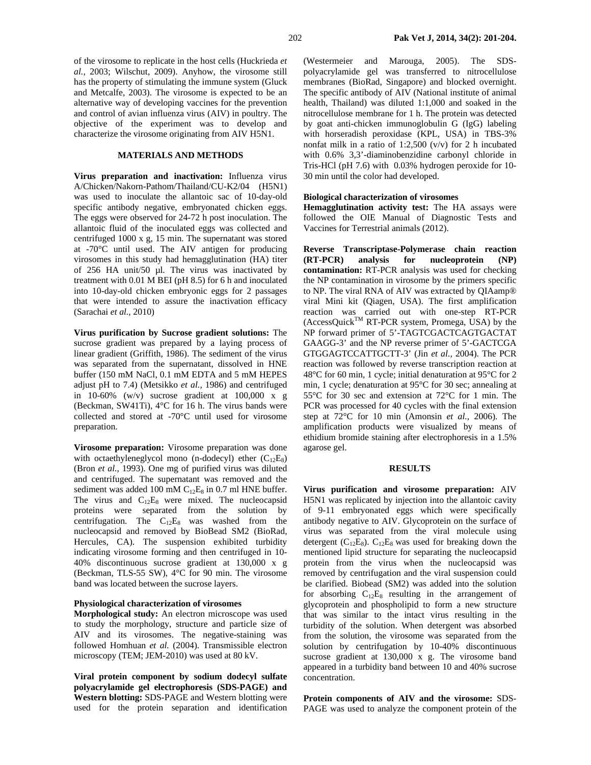of the virosome to replicate in the host cells (Huckrieda *et al.,* 2003; Wilschut, 2009). Anyhow, the virosome still has the property of stimulating the immune system (Gluck and Metcalfe, 2003). The virosome is expected to be an alternative way of developing vaccines for the prevention and control of avian influenza virus (AIV) in poultry. The objective of the experiment was to develop and characterize the virosome originating from AIV H5N1.

# **MATERIALS AND METHODS**

**Virus preparation and inactivation:** Influenza virus A/Chicken/Nakorn-Pathom/Thailand/CU-K2/04 (H5N1) was used to inoculate the allantoic sac of 10-day-old specific antibody negative, embryonated chicken eggs. The eggs were observed for 24-72 h post inoculation. The allantoic fluid of the inoculated eggs was collected and centrifuged 1000 x g, 15 min. The supernatant was stored at -70°C until used. The AIV antigen for producing virosomes in this study had hemagglutination (HA) titer of 256 HA unit/50 µl. The virus was inactivated by treatment with 0.01 M BEI (pH 8.5) for 6 h and inoculated into 10-day-old chicken embryonic eggs for 2 passages that were intended to assure the inactivation efficacy (Sarachai *et al.,* 2010)

**Virus purification by Sucrose gradient solutions:** The sucrose gradient was prepared by a laying process of linear gradient (Griffith, 1986). The sediment of the virus was separated from the supernatant, dissolved in HNE buffer (150 mM NaCl, 0.1 mM EDTA and 5 mM HEPES adjust pH to 7.4) (Metsikko *et al.,* 1986) and centrifuged in  $10-60\%$  (w/v) sucrose gradient at  $100,000 \times g$ (Beckman, SW41Ti), 4°C for 16 h. The virus bands were collected and stored at -70°C until used for virosome preparation.

**Virosome preparation:** Virosome preparation was done with octaethyleneglycol mono (n-dodecyl) ether  $(C_{12}E_8)$ (Bron *et al.,* 1993). One mg of purified virus was diluted and centrifuged. The supernatant was removed and the sediment was added 100 mM  $C_{12}E_8$  in 0.7 ml HNE buffer. The virus and  $C_{12}E_8$  were mixed. The nucleocapsid proteins were separated from the solution by centrifugation. The  $C_{12}E_8$  was washed from the nucleocapsid and removed by BioBead SM2 (BioRad, Hercules, CA). The suspension exhibited turbidity indicating virosome forming and then centrifuged in 10- 40% discontinuous sucrose gradient at 130,000 x g (Beckman, TLS-55 SW), 4°C for 90 min. The virosome band was located between the sucrose layers.

#### **Physiological characterization of virosomes**

**Morphological study:** An electron microscope was used to study the morphology, structure and particle size of AIV and its virosomes. The negative-staining was followed Homhuan *et al.* (2004). Transmissible electron microscopy (TEM; JEM-2010) was used at 80 kV.

**Viral protein component by sodium dodecyl sulfate polyacrylamide gel electrophoresis (SDS-PAGE) and Western blotting:** SDS-PAGE and Western blotting were used for the protein separation and identification (Westermeier and Marouga, 2005). The SDSpolyacrylamide gel was transferred to nitrocellulose membranes (BioRad, Singapore) and blocked overnight. The specific antibody of AIV (National institute of animal health, Thailand) was diluted 1:1,000 and soaked in the nitrocellulose membrane for 1 h. The protein was detected by goat anti-chicken immunoglobulin G (IgG) labeling with horseradish peroxidase (KPL, USA) in TBS-3% nonfat milk in a ratio of 1:2,500 ( $v/v$ ) for 2 h incubated with 0.6% 3,3'-diaminobenzidine carbonyl chloride in Tris-HCl (pH 7.6) with 0.03% hydrogen peroxide for 10- 30 min until the color had developed.

# **Biological characterization of virosomes**

**Hemagglutination activity test:** The HA assays were followed the OIE Manual of Diagnostic Tests and Vaccines for Terrestrial animals (2012).

**Reverse Transcriptase-Polymerase chain reaction (RT-PCR) analysis for nucleoprotein (NP) contamination:** RT-PCR analysis was used for checking the NP contamination in virosome by the primers specific to NP. The viral RNA of AIV was extracted by QIAamp® viral Mini kit (Qiagen, USA). The first amplification reaction was carried out with one-step RT-PCR  $(AccessQuick^{TM} RT-PCR system, Promega, USA)$  by the NP forward primer of 5'-TAGTCGACTCAGTGACTAT GAAGG-3' and the NP reverse primer of 5'-GACTCGA GTGGAGTCCATTGCTT-3' (Jin *et al.,* 2004). The PCR reaction was followed by reverse transcription reaction at 48°C for 60 min, 1 cycle; initial denaturation at 95°C for 2 min, 1 cycle; denaturation at 95°C for 30 sec; annealing at 55°C for 30 sec and extension at 72°C for 1 min. The PCR was processed for 40 cycles with the final extension step at 72°C for 10 min (Amonsin *et al.,* 2006). The amplification products were visualized by means of ethidium bromide staining after electrophoresis in a 1.5% agarose gel.

### **RESULTS**

**Virus purification and virosome preparation:** AIV H5N1 was replicated by injection into the allantoic cavity of 9-11 embryonated eggs which were specifically antibody negative to AIV. Glycoprotein on the surface of virus was separated from the viral molecule using detergent ( $C_{12}E_8$ ).  $C_{12}E_8$  was used for breaking down the mentioned lipid structure for separating the nucleocapsid protein from the virus when the nucleocapsid was removed by centrifugation and the viral suspension could be clarified. Biobead (SM2) was added into the solution for absorbing  $C_{12}E_8$  resulting in the arrangement of glycoprotein and phospholipid to form a new structure that was similar to the intact virus resulting in the turbidity of the solution. When detergent was absorbed from the solution, the virosome was separated from the solution by centrifugation by 10-40% discontinuous sucrose gradient at 130,000 x g. The virosome band appeared in a turbidity band between 10 and 40% sucrose concentration.

**Protein components of AIV and the virosome:** SDS-PAGE was used to analyze the component protein of the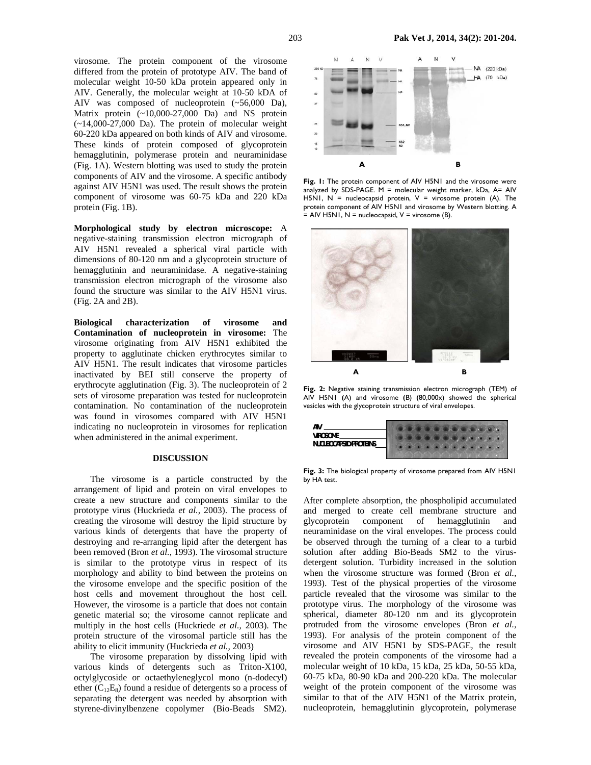virosome. The protein component of the virosome differed from the protein of prototype AIV. The band of molecular weight 10-50 kDa protein appeared only in AIV. Generally, the molecular weight at 10-50 kDA of AIV was composed of nucleoprotein (~56,000 Da), Matrix protein (~10,000-27,000 Da) and NS protein  $(-14,000-27,000)$  Da). The protein of molecular weight 60-220 kDa appeared on both kinds of AIV and virosome. These kinds of protein composed of glycoprotein hemagglutinin, polymerase protein and neuraminidase (Fig. 1A). Western blotting was used to study the protein components of AIV and the virosome. A specific antibody against AIV H5N1 was used. The result shows the protein component of virosome was 60-75 kDa and 220 kDa protein (Fig. 1B).

**Morphological study by electron microscope:** A negative-staining transmission electron micrograph of AIV H5N1 revealed a spherical viral particle with dimensions of 80-120 nm and a glycoprotein structure of hemagglutinin and neuraminidase. A negative-staining transmission electron micrograph of the virosome also found the structure was similar to the AIV H5N1 virus. (Fig. 2A and 2B).

**Biological characterization of virosome and Contamination of nucleoprotein in virosome:** The virosome originating from AIV H5N1 exhibited the property to agglutinate chicken erythrocytes similar to AIV H5N1. The result indicates that virosome particles inactivated by BEI still conserve the property of erythrocyte agglutination (Fig. 3). The nucleoprotein of 2 sets of virosome preparation was tested for nucleoprotein contamination. No contamination of the nucleoprotein was found in virosomes compared with AIV H5N1 indicating no nucleoprotein in virosomes for replication when administered in the animal experiment.

### **DISCUSSION**

The virosome is a particle constructed by the arrangement of lipid and protein on viral envelopes to create a new structure and components similar to the prototype virus (Huckrieda *et al.,* 2003). The process of creating the virosome will destroy the lipid structure by various kinds of detergents that have the property of destroying and re-arranging lipid after the detergent has been removed (Bron *et al.,* 1993). The virosomal structure is similar to the prototype virus in respect of its morphology and ability to bind between the proteins on the virosome envelope and the specific position of the host cells and movement throughout the host cell. However, the virosome is a particle that does not contain genetic material so; the virosome cannot replicate and multiply in the host cells (Huckriede *et al.,* 2003). The protein structure of the virosomal particle still has the ability to elicit immunity (Huckrieda *et al.,* 2003)

The virosome preparation by dissolving lipid with various kinds of detergents such as Triton-X100, octylglycoside or octaethyleneglycol mono (n-dodecyl) ether  $(C_1, E_8)$  found a residue of detergents so a process of separating the detergent was needed by absorption with styrene-divinylbenzene copolymer (Bio-Beads SM2).



**Fig. 1:** The protein component of AIV H5N1 and the virosome were analyzed by SDS-PAGE.  $M =$  molecular weight marker, kDa, A= AIV H5N1,  $N =$  nucleocapsid protein,  $V =$  virosome protein (A). The protein component of AIV H5N1 and virosome by Western blotting. A  $=$  AIV H5N1, N = nucleocapsid, V = virosome (B).



**Fig. 2:** Negative staining transmission electron micrograph (TEM) of AIV H5N1 **(**A) and virosome **(**B) **(**80,000x) showed the spherical vesicles with the glycoprotein structure of viral envelopes.

| AM                                            |  |
|-----------------------------------------------|--|
| <b>VROSOME</b><br><b>NULLEOCAPSIDEROTEINS</b> |  |

**Fig. 3:** The biological property of virosome prepared from AIV H5N1 by HA test.

After complete absorption, the phospholipid accumulated and merged to create cell membrane structure and glycoprotein component of hemagglutinin and neuraminidase on the viral envelopes. The process could be observed through the turning of a clear to a turbid solution after adding Bio-Beads SM2 to the virusdetergent solution. Turbidity increased in the solution when the virosome structure was formed (Bron *et al.,* 1993). Test of the physical properties of the virosome particle revealed that the virosome was similar to the prototype virus. The morphology of the virosome was spherical, diameter 80-120 nm and its glycoprotein protruded from the virosome envelopes (Bron *et al.,* 1993). For analysis of the protein component of the virosome and AIV H5N1 by SDS-PAGE, the result revealed the protein components of the virosome had a molecular weight of 10 kDa, 15 kDa, 25 kDa, 50-55 kDa, 60-75 kDa, 80-90 kDa and 200-220 kDa. The molecular weight of the protein component of the virosome was similar to that of the AIV H5N1 of the Matrix protein, nucleoprotein, hemagglutinin glycoprotein, polymerase